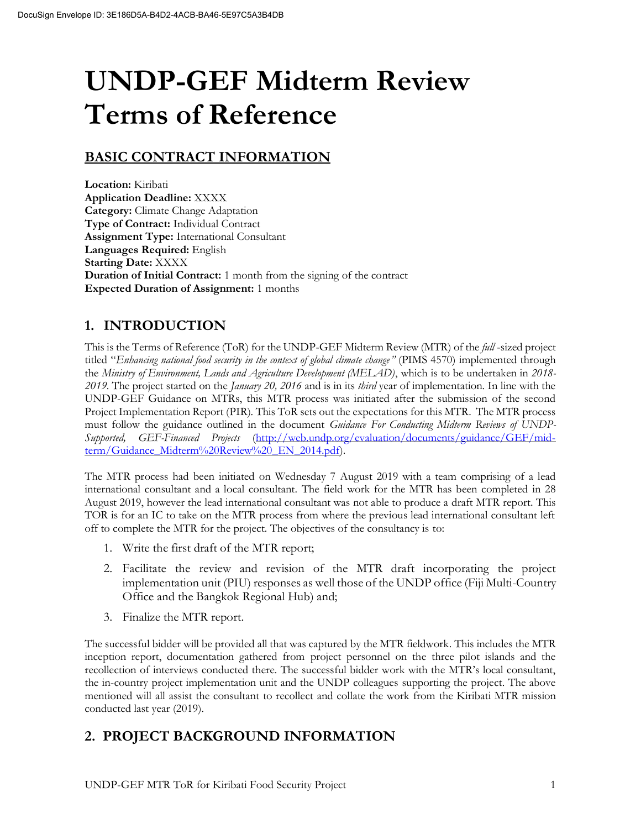# **UNDP-GEF Midterm Review Terms of Reference**

# **BASIC CONTRACT INFORMATION**

**Location:** Kiribati **Application Deadline:** XXXX **Category:** Climate Change Adaptation **Type of Contract:** Individual Contract **Assignment Type:** International Consultant **Languages Required:** English **Starting Date:** XXXX **Duration of Initial Contract:** 1 month from the signing of the contract **Expected Duration of Assignment:** 1 months

# **1. INTRODUCTION**

This is the Terms of Reference (ToR) for the UNDP-GEF Midterm Review (MTR) of the *full* -sized project titled "*Enhancing national food security in the context of global climate change"* (PIMS 4570) implemented through the *Ministry of Environment, Lands and Agriculture Development (MELAD)*, which is to be undertaken in *2018- 2019*. The project started on the *January 20, 2016* and is in its *third* year of implementation. In line with the UNDP-GEF Guidance on MTRs, this MTR process was initiated after the submission of the second Project Implementation Report (PIR). This ToR sets out the expectations for this MTR. The MTR process must follow the guidance outlined in the document *Guidance For Conducting Midterm Reviews of UNDP-Supported, GEF-Financed Projects* [\(http://web.undp.org/evaluation/documents/guidance/GEF/mid](http://web.undp.org/evaluation/documents/guidance/GEF/mid-term/Guidance_Midterm%20Review%20_EN_2014.pdf)[term/Guidance\\_Midterm%20Review%20\\_EN\\_2014.pdf\)](http://web.undp.org/evaluation/documents/guidance/GEF/mid-term/Guidance_Midterm%20Review%20_EN_2014.pdf).

The MTR process had been initiated on Wednesday 7 August 2019 with a team comprising of a lead international consultant and a local consultant. The field work for the MTR has been completed in 28 August 2019, however the lead international consultant was not able to produce a draft MTR report. This TOR is for an IC to take on the MTR process from where the previous lead international consultant left off to complete the MTR for the project. The objectives of the consultancy is to:

- 1. Write the first draft of the MTR report;
- 2. Facilitate the review and revision of the MTR draft incorporating the project implementation unit (PIU) responses as well those of the UNDP office (Fiji Multi-Country Office and the Bangkok Regional Hub) and;
- 3. Finalize the MTR report.

The successful bidder will be provided all that was captured by the MTR fieldwork. This includes the MTR inception report, documentation gathered from project personnel on the three pilot islands and the recollection of interviews conducted there. The successful bidder work with the MTR's local consultant, the in-country project implementation unit and the UNDP colleagues supporting the project. The above mentioned will all assist the consultant to recollect and collate the work from the Kiribati MTR mission conducted last year (2019).

# **2. PROJECT BACKGROUND INFORMATION**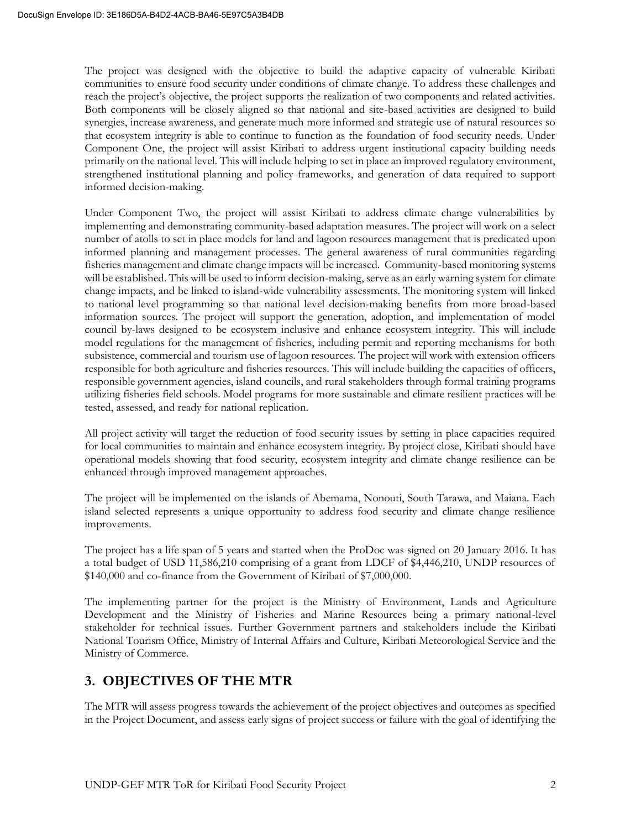The project was designed with the objective to build the adaptive capacity of vulnerable Kiribati communities to ensure food security under conditions of climate change. To address these challenges and reach the project's objective, the project supports the realization of two components and related activities. Both components will be closely aligned so that national and site-based activities are designed to build synergies, increase awareness, and generate much more informed and strategic use of natural resources so that ecosystem integrity is able to continue to function as the foundation of food security needs. Under Component One, the project will assist Kiribati to address urgent institutional capacity building needs primarily on the national level. This will include helping to set in place an improved regulatory environment, strengthened institutional planning and policy frameworks, and generation of data required to support informed decision-making.

Under Component Two, the project will assist Kiribati to address climate change vulnerabilities by implementing and demonstrating community-based adaptation measures. The project will work on a select number of atolls to set in place models for land and lagoon resources management that is predicated upon informed planning and management processes. The general awareness of rural communities regarding fisheries management and climate change impacts will be increased. Community-based monitoring systems will be established. This will be used to inform decision-making, serve as an early warning system for climate change impacts, and be linked to island-wide vulnerability assessments. The monitoring system will linked to national level programming so that national level decision-making benefits from more broad-based information sources. The project will support the generation, adoption, and implementation of model council by-laws designed to be ecosystem inclusive and enhance ecosystem integrity. This will include model regulations for the management of fisheries, including permit and reporting mechanisms for both subsistence, commercial and tourism use of lagoon resources. The project will work with extension officers responsible for both agriculture and fisheries resources. This will include building the capacities of officers, responsible government agencies, island councils, and rural stakeholders through formal training programs utilizing fisheries field schools. Model programs for more sustainable and climate resilient practices will be tested, assessed, and ready for national replication.

All project activity will target the reduction of food security issues by setting in place capacities required for local communities to maintain and enhance ecosystem integrity. By project close, Kiribati should have operational models showing that food security, ecosystem integrity and climate change resilience can be enhanced through improved management approaches.

The project will be implemented on the islands of Abemama, Nonouti, South Tarawa, and Maiana. Each island selected represents a unique opportunity to address food security and climate change resilience improvements.

The project has a life span of 5 years and started when the ProDoc was signed on 20 January 2016. It has a total budget of USD 11,586,210 comprising of a grant from LDCF of \$4,446,210, UNDP resources of \$140,000 and co-finance from the Government of Kiribati of \$7,000,000.

The implementing partner for the project is the Ministry of Environment, Lands and Agriculture Development and the Ministry of Fisheries and Marine Resources being a primary national-level stakeholder for technical issues. Further Government partners and stakeholders include the Kiribati National Tourism Office, Ministry of Internal Affairs and Culture, Kiribati Meteorological Service and the Ministry of Commerce.

## **3. OBJECTIVES OF THE MTR**

The MTR will assess progress towards the achievement of the project objectives and outcomes as specified in the Project Document, and assess early signs of project success or failure with the goal of identifying the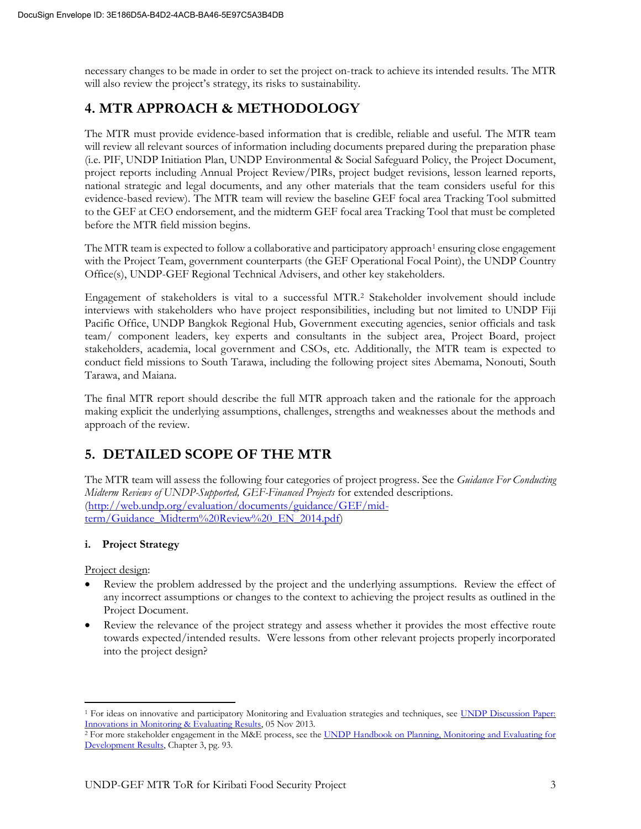necessary changes to be made in order to set the project on-track to achieve its intended results. The MTR will also review the project's strategy, its risks to sustainability.

## **4. MTR APPROACH & METHODOLOGY**

The MTR must provide evidence-based information that is credible, reliable and useful. The MTR team will review all relevant sources of information including documents prepared during the preparation phase (i.e. PIF, UNDP Initiation Plan, UNDP Environmental & Social Safeguard Policy, the Project Document, project reports including Annual Project Review/PIRs, project budget revisions, lesson learned reports, national strategic and legal documents, and any other materials that the team considers useful for this evidence-based review). The MTR team will review the baseline GEF focal area Tracking Tool submitted to the GEF at CEO endorsement, and the midterm GEF focal area Tracking Tool that must be completed before the MTR field mission begins.

The MTR team is expected to follow a collaborative and participatory approach<sup>1</sup> ensuring close engagement with the Project Team, government counterparts (the GEF Operational Focal Point), the UNDP Country Office(s), UNDP-GEF Regional Technical Advisers, and other key stakeholders.

Engagement of stakeholders is vital to a successful MTR.<sup>2</sup> Stakeholder involvement should include interviews with stakeholders who have project responsibilities, including but not limited to UNDP Fiji Pacific Office, UNDP Bangkok Regional Hub, Government executing agencies, senior officials and task team/ component leaders, key experts and consultants in the subject area, Project Board, project stakeholders, academia, local government and CSOs, etc. Additionally, the MTR team is expected to conduct field missions to South Tarawa, including the following project sites Abemama, Nonouti, South Tarawa, and Maiana.

The final MTR report should describe the full MTR approach taken and the rationale for the approach making explicit the underlying assumptions, challenges, strengths and weaknesses about the methods and approach of the review.

# **5. DETAILED SCOPE OF THE MTR**

The MTR team will assess the following four categories of project progress. See the *Guidance For Conducting Midterm Reviews of UNDP-Supported, GEF-Financed Projects* for extended descriptions. [\(http://web.undp.org/evaluation/documents/guidance/GEF/mid](http://web.undp.org/evaluation/documents/guidance/GEF/mid-term/Guidance_Midterm%20Review%20_EN_2014.pdf)[term/Guidance\\_Midterm%20Review%20\\_EN\\_2014.pdf\)](http://web.undp.org/evaluation/documents/guidance/GEF/mid-term/Guidance_Midterm%20Review%20_EN_2014.pdf)

## **i. Project Strategy**

Project design:

- Review the problem addressed by the project and the underlying assumptions. Review the effect of any incorrect assumptions or changes to the context to achieving the project results as outlined in the Project Document.
- Review the relevance of the project strategy and assess whether it provides the most effective route towards expected/intended results. Were lessons from other relevant projects properly incorporated into the project design?

<sup>&</sup>lt;sup>1</sup> For ideas on innovative and participatory Monitoring and Evaluation strategies and techniques, see UNDP Discussion Paper: [Innovations in Monitoring & Evaluating Results,](http://www.undp.org/content/undp/en/home/librarypage/capacity-building/discussion-paper--innovations-in-monitoring---evaluating-results/) 05 Nov 2013.

<sup>&</sup>lt;sup>2</sup> For more stakeholder engagement in the M&E process, see the UNDP Handbook on Planning, Monitoring and Evaluating for [Development Results,](http://www.undg.org/docs/11653/UNDP-PME-Handbook-(2009).pdf) Chapter 3, pg. 93.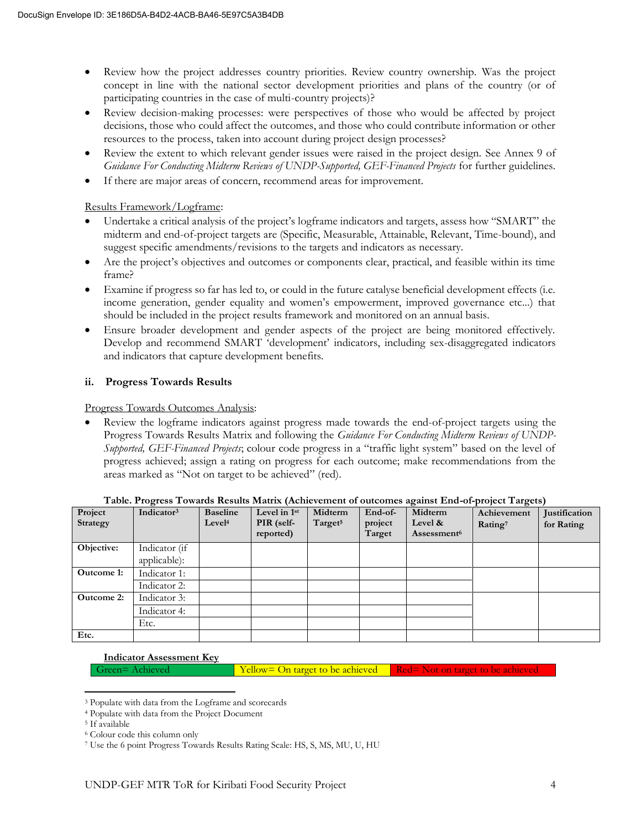- Review how the project addresses country priorities. Review country ownership. Was the project concept in line with the national sector development priorities and plans of the country (or of participating countries in the case of multi-country projects)?
- Review decision-making processes: were perspectives of those who would be affected by project decisions, those who could affect the outcomes, and those who could contribute information or other resources to the process, taken into account during project design processes?
- Review the extent to which relevant gender issues were raised in the project design. See Annex 9 of *Guidance For Conducting Midterm Reviews of UNDP-Supported, GEF-Financed Projects* for further guidelines.
- If there are major areas of concern, recommend areas for improvement.

#### Results Framework/Logframe:

- Undertake a critical analysis of the project's logframe indicators and targets, assess how "SMART" the midterm and end-of-project targets are (Specific, Measurable, Attainable, Relevant, Time-bound), and suggest specific amendments/revisions to the targets and indicators as necessary.
- Are the project's objectives and outcomes or components clear, practical, and feasible within its time frame?
- Examine if progress so far has led to, or could in the future catalyse beneficial development effects (i.e. income generation, gender equality and women's empowerment, improved governance etc...) that should be included in the project results framework and monitored on an annual basis.
- Ensure broader development and gender aspects of the project are being monitored effectively. Develop and recommend SMART 'development' indicators, including sex-disaggregated indicators and indicators that capture development benefits.

## **ii. Progress Towards Results**

Progress Towards Outcomes Analysis:

• Review the logframe indicators against progress made towards the end-of-project targets using the Progress Towards Results Matrix and following the *Guidance For Conducting Midterm Reviews of UNDP-Supported, GEF-Financed Projects*; colour code progress in a "traffic light system" based on the level of progress achieved; assign a rating on progress for each outcome; make recommendations from the areas marked as "Not on target to be achieved" (red).

| Project<br>Strategy | Indicator <sup>3</sup>        | <b>Baseline</b><br>Level <sup>4</sup> | Level in 1st<br>PIR (self-<br>reported) | Midterm<br>Target <sup>5</sup> | End-of-<br>project<br>Target | Midterm<br>Level &<br>Assessment <sup>6</sup> | Achievement<br>Rating <sup>7</sup> | Justification<br>for Rating |
|---------------------|-------------------------------|---------------------------------------|-----------------------------------------|--------------------------------|------------------------------|-----------------------------------------------|------------------------------------|-----------------------------|
| Objective:          | Indicator (if<br>applicable): |                                       |                                         |                                |                              |                                               |                                    |                             |
| Outcome 1:          | Indicator 1:                  |                                       |                                         |                                |                              |                                               |                                    |                             |
|                     | Indicator 2:                  |                                       |                                         |                                |                              |                                               |                                    |                             |
| <b>Outcome 2:</b>   | Indicator 3:                  |                                       |                                         |                                |                              |                                               |                                    |                             |
|                     | Indicator 4:                  |                                       |                                         |                                |                              |                                               |                                    |                             |
|                     | Etc.                          |                                       |                                         |                                |                              |                                               |                                    |                             |
| Etc.                |                               |                                       |                                         |                                |                              |                                               |                                    |                             |

| Table. Progress Towards Results Matrix (Achievement of outcomes against End-of-project Targets) |  |
|-------------------------------------------------------------------------------------------------|--|
|-------------------------------------------------------------------------------------------------|--|

#### **Indicator Assessment Key**

Green= Achieved Yellow= On target to be achieved Red= Not on target to be achieved

<sup>3</sup> Populate with data from the Logframe and scorecards

<sup>4</sup> Populate with data from the Project Document

<sup>5</sup> If available

<sup>6</sup> Colour code this column only

<sup>7</sup> Use the 6 point Progress Towards Results Rating Scale: HS, S, MS, MU, U, HU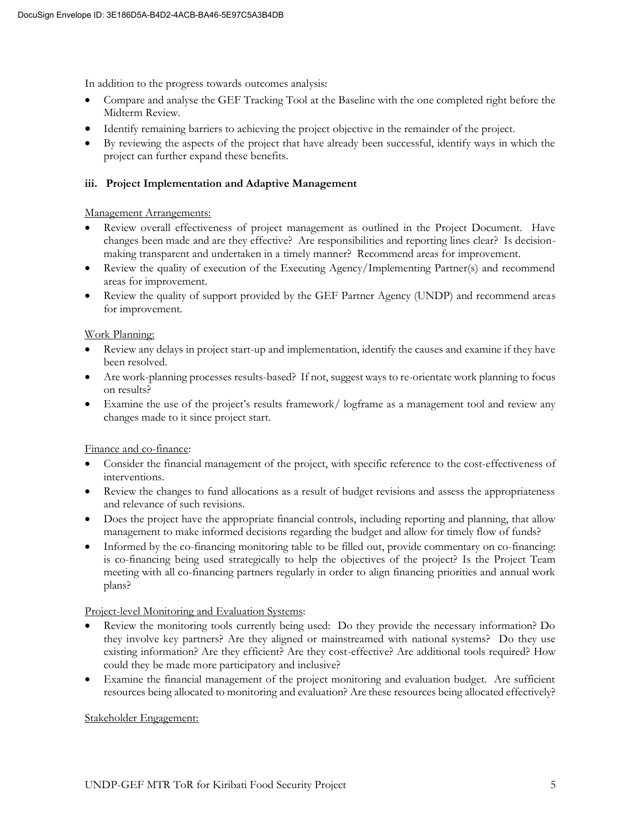In addition to the progress towards outcomes analysis:

- Compare and analyse the GEF Tracking Tool at the Baseline with the one completed right before the Midterm Review.
- Identify remaining barriers to achieving the project objective in the remainder of the project.
- By reviewing the aspects of the project that have already been successful, identify ways in which the project can further expand these benefits.

#### **iii. Project Implementation and Adaptive Management**

#### Management Arrangements:

- Review overall effectiveness of project management as outlined in the Project Document. Have changes been made and are they effective? Are responsibilities and reporting lines clear? Is decisionmaking transparent and undertaken in a timely manner? Recommend areas for improvement.
- Review the quality of execution of the Executing Agency/Implementing Partner(s) and recommend areas for improvement.
- Review the quality of support provided by the GEF Partner Agency (UNDP) and recommend areas for improvement.

#### Work Planning:

- Review any delays in project start-up and implementation, identify the causes and examine if they have been resolved.
- Are work-planning processes results-based? If not, suggest ways to re-orientate work planning to focus on results?
- Examine the use of the project's results framework/logframe as a management tool and review any changes made to it since project start.

## Finance and co-finance:

- Consider the financial management of the project, with specific reference to the cost-effectiveness of interventions.
- Review the changes to fund allocations as a result of budget revisions and assess the appropriateness and relevance of such revisions.
- Does the project have the appropriate financial controls, including reporting and planning, that allow management to make informed decisions regarding the budget and allow for timely flow of funds?
- Informed by the co-financing monitoring table to be filled out, provide commentary on co-financing: is co-financing being used strategically to help the objectives of the project? Is the Project Team meeting with all co-financing partners regularly in order to align financing priorities and annual work plans?

#### Project-level Monitoring and Evaluation Systems:

- Review the monitoring tools currently being used: Do they provide the necessary information? Do they involve key partners? Are they aligned or mainstreamed with national systems? Do they use existing information? Are they efficient? Are they cost-effective? Are additional tools required? How could they be made more participatory and inclusive?
- Examine the financial management of the project monitoring and evaluation budget. Are sufficient resources being allocated to monitoring and evaluation? Are these resources being allocated effectively?

#### Stakeholder Engagement: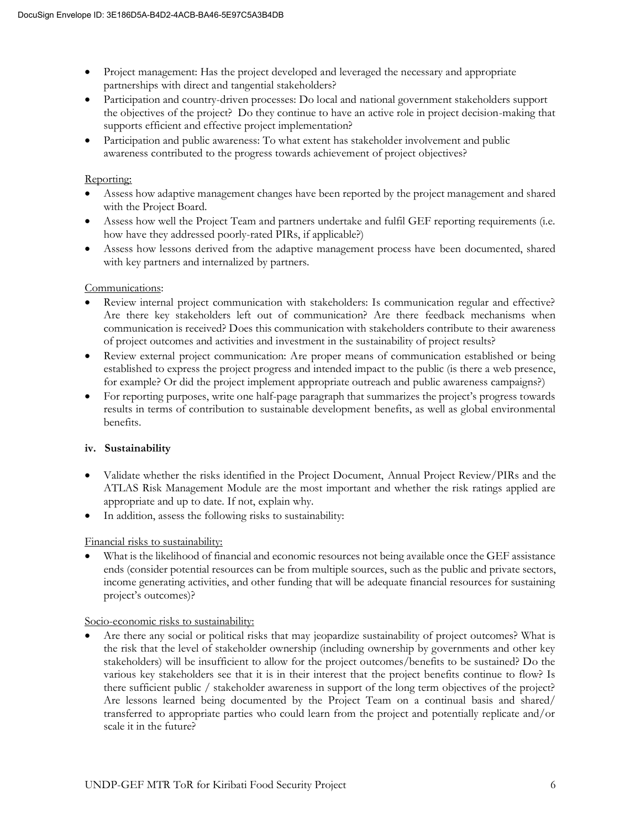- Project management: Has the project developed and leveraged the necessary and appropriate partnerships with direct and tangential stakeholders?
- Participation and country-driven processes: Do local and national government stakeholders support the objectives of the project? Do they continue to have an active role in project decision-making that supports efficient and effective project implementation?
- Participation and public awareness: To what extent has stakeholder involvement and public awareness contributed to the progress towards achievement of project objectives?

#### Reporting:

- Assess how adaptive management changes have been reported by the project management and shared with the Project Board.
- Assess how well the Project Team and partners undertake and fulfil GEF reporting requirements (i.e. how have they addressed poorly-rated PIRs, if applicable?)
- Assess how lessons derived from the adaptive management process have been documented, shared with key partners and internalized by partners.

#### Communications:

- Review internal project communication with stakeholders: Is communication regular and effective? Are there key stakeholders left out of communication? Are there feedback mechanisms when communication is received? Does this communication with stakeholders contribute to their awareness of project outcomes and activities and investment in the sustainability of project results?
- Review external project communication: Are proper means of communication established or being established to express the project progress and intended impact to the public (is there a web presence, for example? Or did the project implement appropriate outreach and public awareness campaigns?)
- For reporting purposes, write one half-page paragraph that summarizes the project's progress towards results in terms of contribution to sustainable development benefits, as well as global environmental benefits.

## **iv. Sustainability**

- Validate whether the risks identified in the Project Document, Annual Project Review/PIRs and the ATLAS Risk Management Module are the most important and whether the risk ratings applied are appropriate and up to date. If not, explain why.
- In addition, assess the following risks to sustainability:

## Financial risks to sustainability:

What is the likelihood of financial and economic resources not being available once the GEF assistance ends (consider potential resources can be from multiple sources, such as the public and private sectors, income generating activities, and other funding that will be adequate financial resources for sustaining project's outcomes)?

#### Socio-economic risks to sustainability:

• Are there any social or political risks that may jeopardize sustainability of project outcomes? What is the risk that the level of stakeholder ownership (including ownership by governments and other key stakeholders) will be insufficient to allow for the project outcomes/benefits to be sustained? Do the various key stakeholders see that it is in their interest that the project benefits continue to flow? Is there sufficient public / stakeholder awareness in support of the long term objectives of the project? Are lessons learned being documented by the Project Team on a continual basis and shared/ transferred to appropriate parties who could learn from the project and potentially replicate and/or scale it in the future?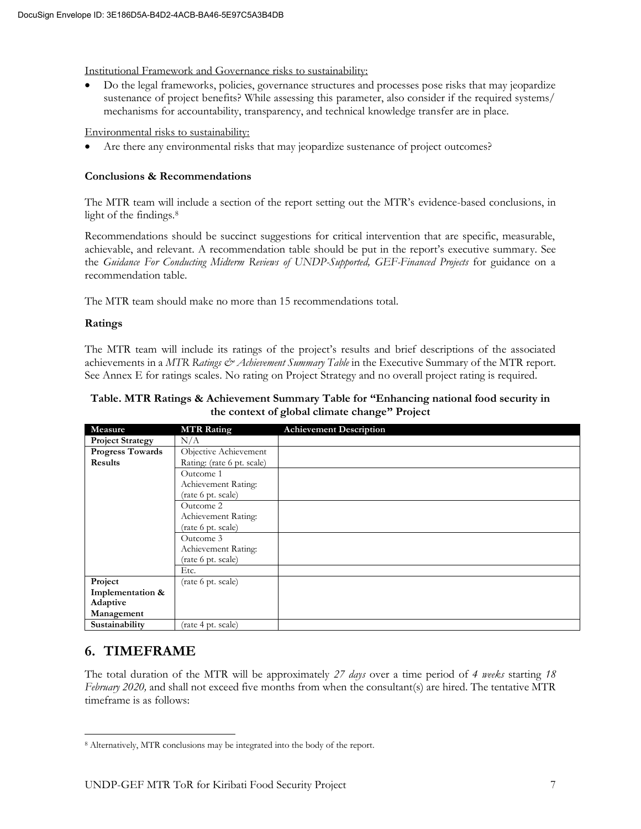Institutional Framework and Governance risks to sustainability:

• Do the legal frameworks, policies, governance structures and processes pose risks that may jeopardize sustenance of project benefits? While assessing this parameter, also consider if the required systems/ mechanisms for accountability, transparency, and technical knowledge transfer are in place.

Environmental risks to sustainability:

Are there any environmental risks that may jeopardize sustenance of project outcomes?

#### **Conclusions & Recommendations**

The MTR team will include a section of the report setting out the MTR's evidence-based conclusions, in light of the findings.<sup>8</sup>

Recommendations should be succinct suggestions for critical intervention that are specific, measurable, achievable, and relevant. A recommendation table should be put in the report's executive summary. See the *Guidance For Conducting Midterm Reviews of UNDP-Supported, GEF-Financed Projects* for guidance on a recommendation table.

The MTR team should make no more than 15 recommendations total.

#### **Ratings**

The MTR team will include its ratings of the project's results and brief descriptions of the associated achievements in a *MTR Ratings & Achievement Summary Table* in the Executive Summary of the MTR report. See Annex E for ratings scales. No rating on Project Strategy and no overall project rating is required.

**Table. MTR Ratings & Achievement Summary Table for "Enhancing national food security in the context of global climate change" Project**

| Measure                 | <b>MTR Rating</b>          | <b>Achievement Description</b> |
|-------------------------|----------------------------|--------------------------------|
| <b>Project Strategy</b> | N/A                        |                                |
| <b>Progress Towards</b> | Objective Achievement      |                                |
| <b>Results</b>          | Rating: (rate 6 pt. scale) |                                |
|                         | Outcome 1                  |                                |
|                         | Achievement Rating:        |                                |
|                         | (rate 6 pt. scale)         |                                |
|                         | Outcome 2                  |                                |
|                         | Achievement Rating:        |                                |
|                         | (rate 6 pt. scale)         |                                |
|                         | Outcome 3                  |                                |
|                         | Achievement Rating:        |                                |
|                         | (rate 6 pt. scale)         |                                |
|                         | Etc.                       |                                |
| Project                 | (rate 6 pt. scale)         |                                |
| Implementation &        |                            |                                |
| Adaptive                |                            |                                |
| Management              |                            |                                |
| Sustainability          | (rate 4 pt. scale)         |                                |

## **6. TIMEFRAME**

The total duration of the MTR will be approximately *27 days* over a time period of *4 weeks* starting *18 February 2020,* and shall not exceed five months from when the consultant(s) are hired. The tentative MTR timeframe is as follows:

<sup>8</sup> Alternatively, MTR conclusions may be integrated into the body of the report.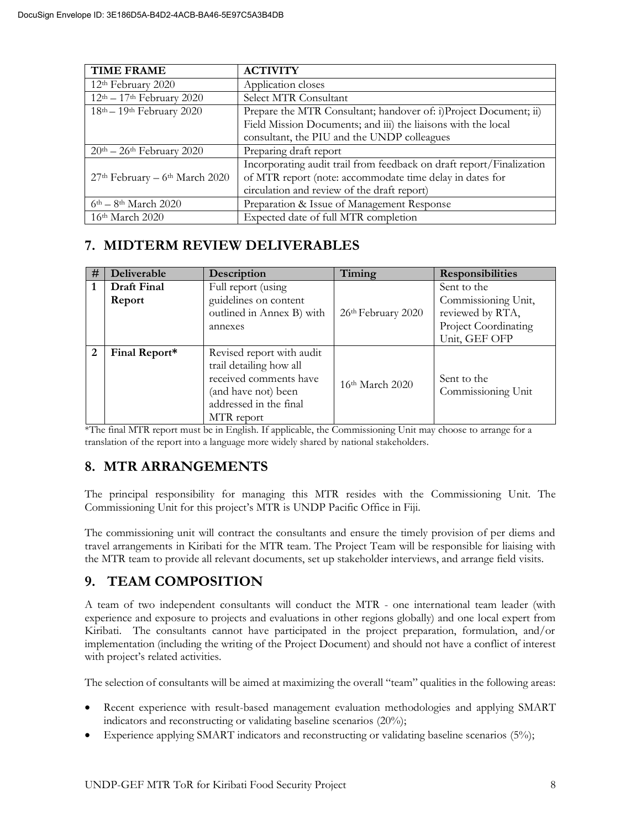| <b>TIME FRAME</b>                                     | <b>ACTIVITY</b>                                                      |
|-------------------------------------------------------|----------------------------------------------------------------------|
| 12 <sup>th</sup> February 2020                        | Application closes                                                   |
| $12th - 17th$ February 2020                           | Select MTR Consultant                                                |
| $18th - 19th$ February 2020                           | Prepare the MTR Consultant; handover of: i)Project Document; ii)     |
|                                                       | Field Mission Documents; and iii) the liaisons with the local        |
|                                                       | consultant, the PIU and the UNDP colleagues                          |
| $20$ <sup>th</sup> - $26$ <sup>th</sup> February 2020 | Preparing draft report                                               |
|                                                       | Incorporating audit trail from feedback on draft report/Finalization |
| $27th$ February – 6 <sup>th</sup> March 2020          | of MTR report (note: accommodate time delay in dates for             |
|                                                       | circulation and review of the draft report)                          |
| $6th - 8th$ March 2020                                | Preparation & Issue of Management Response                           |
| 16 <sup>th</sup> March 2020                           | Expected date of full MTR completion                                 |

## **7. MIDTERM REVIEW DELIVERABLES**

| #              | Deliverable   | Description                                                                                                                                   | Timing             | <b>Responsibilities</b>                                                          |
|----------------|---------------|-----------------------------------------------------------------------------------------------------------------------------------------------|--------------------|----------------------------------------------------------------------------------|
|                | Draft Final   | Full report (using                                                                                                                            |                    | Sent to the                                                                      |
|                | Report        | guidelines on content<br>outlined in Annex B) with<br>annexes                                                                                 | 26th February 2020 | Commissioning Unit,<br>reviewed by RTA,<br>Project Coordinating<br>Unit, GEF OFP |
| $\overline{2}$ | Final Report* | Revised report with audit<br>trail detailing how all<br>received comments have<br>(and have not) been<br>addressed in the final<br>MTR report | 16th March 2020    | Sent to the<br>Commissioning Unit                                                |

\*The final MTR report must be in English. If applicable, the Commissioning Unit may choose to arrange for a translation of the report into a language more widely shared by national stakeholders.

## **8. MTR ARRANGEMENTS**

The principal responsibility for managing this MTR resides with the Commissioning Unit. The Commissioning Unit for this project's MTR is UNDP Pacific Office in Fiji.

The commissioning unit will contract the consultants and ensure the timely provision of per diems and travel arrangements in Kiribati for the MTR team. The Project Team will be responsible for liaising with the MTR team to provide all relevant documents, set up stakeholder interviews, and arrange field visits.

## **9. TEAM COMPOSITION**

A team of two independent consultants will conduct the MTR - one international team leader (with experience and exposure to projects and evaluations in other regions globally) and one local expert from Kiribati. The consultants cannot have participated in the project preparation, formulation, and/or implementation (including the writing of the Project Document) and should not have a conflict of interest with project's related activities.

The selection of consultants will be aimed at maximizing the overall "team" qualities in the following areas:

- Recent experience with result-based management evaluation methodologies and applying SMART indicators and reconstructing or validating baseline scenarios (20%);
- Experience applying SMART indicators and reconstructing or validating baseline scenarios (5%);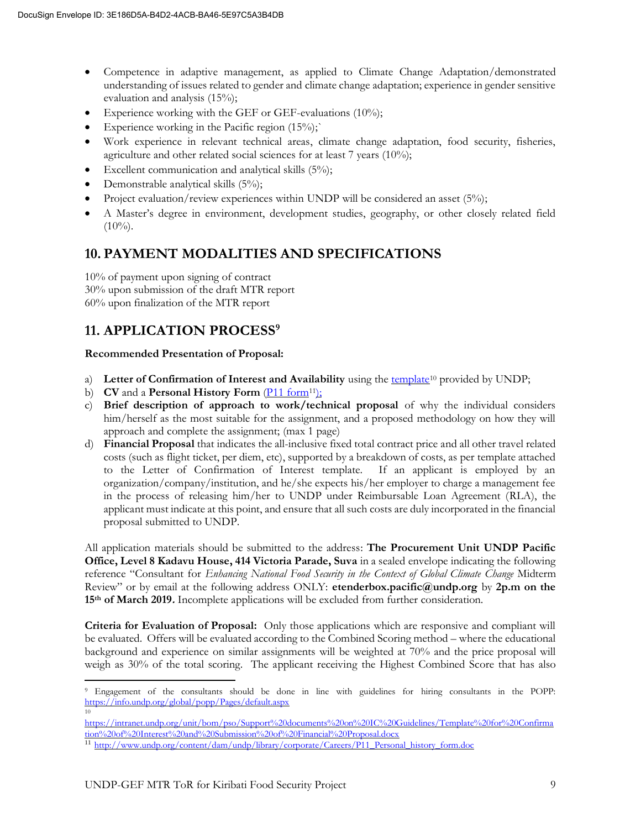- Competence in adaptive management, as applied to Climate Change Adaptation/demonstrated understanding of issues related to gender and climate change adaptation; experience in gender sensitive evaluation and analysis (15%);
- Experience working with the GEF or GEF-evaluations  $(10\%)$ ;
- Experience working in the Pacific region  $(15\%)$ ;
- Work experience in relevant technical areas, climate change adaptation, food security, fisheries, agriculture and other related social sciences for at least 7 years (10%);
- Excellent communication and analytical skills (5%);
- Demonstrable analytical skills (5%);
- Project evaluation/review experiences within UNDP will be considered an asset  $(5\%)$ ;
- A Master's degree in environment, development studies, geography, or other closely related field  $(10\%)$ .

## **10. PAYMENT MODALITIES AND SPECIFICATIONS**

10% of payment upon signing of contract 30% upon submission of the draft MTR report 60% upon finalization of the MTR report

## **11. APPLICATION PROCESS<sup>9</sup>**

#### **Recommended Presentation of Proposal:**

- a) **Letter of Confirmation of Interest and Availability** using the [template](https://intranet.undp.org/unit/bom/pso/Support%20documents%20on%20IC%20Guidelines/Template%20for%20Confirmation%20of%20Interest%20and%20Submission%20of%20Financial%20Proposal.docx)<sup>10</sup> provided by UNDP;
- b) **CV** and a **Personal History Form** [\(P11 form](http://www.undp.org/content/dam/undp/library/corporate/Careers/P11_Personal_history_form.doc)<sup>11</sup>);
- c) **Brief description of approach to work/technical proposal** of why the individual considers him/herself as the most suitable for the assignment, and a proposed methodology on how they will approach and complete the assignment; (max 1 page)
- d) **Financial Proposal** that indicates the all-inclusive fixed total contract price and all other travel related costs (such as flight ticket, per diem, etc), supported by a breakdown of costs, as per template attached to the Letter of Confirmation of Interest template. If an applicant is employed by an organization/company/institution, and he/she expects his/her employer to charge a management fee in the process of releasing him/her to UNDP under Reimbursable Loan Agreement (RLA), the applicant must indicate at this point, and ensure that all such costs are duly incorporated in the financial proposal submitted to UNDP.

All application materials should be submitted to the address: **The Procurement Unit UNDP Pacific Office, Level 8 Kadavu House, 414 Victoria Parade, Suva** in a sealed envelope indicating the following reference "Consultant for *Enhancing National Food Security in the Context of Global Climate Change* Midterm Review" or by email at the following address ONLY: **etenderbox.pacific@undp.org** by **2p.m on the 15th of March 2019.** Incomplete applications will be excluded from further consideration.

**Criteria for Evaluation of Proposal:** Only those applications which are responsive and compliant will be evaluated. Offers will be evaluated according to the Combined Scoring method – where the educational background and experience on similar assignments will be weighted at 70% and the price proposal will weigh as 30% of the total scoring. The applicant receiving the Highest Combined Score that has also

<sup>9</sup> Engagement of the consultants should be done in line with guidelines for hiring consultants in the POPP: <https://info.undp.org/global/popp/Pages/default.aspx> 10

[https://intranet.undp.org/unit/bom/pso/Support%20documents%20on%20IC%20Guidelines/Template%20for%20Confirma](https://intranet.undp.org/unit/bom/pso/Support%20documents%20on%20IC%20Guidelines/Template%20for%20Confirmation%20of%20Interest%20and%20Submission%20of%20Financial%20Proposal.docx) [tion%20of%20Interest%20and%20Submission%20of%20Financial%20Proposal.docx](https://intranet.undp.org/unit/bom/pso/Support%20documents%20on%20IC%20Guidelines/Template%20for%20Confirmation%20of%20Interest%20and%20Submission%20of%20Financial%20Proposal.docx)

<sup>11</sup> [http://www.undp.org/content/dam/undp/library/corporate/Careers/P11\\_Personal\\_history\\_form.doc](http://www.undp.org/content/dam/undp/library/corporate/Careers/P11_Personal_history_form.doc)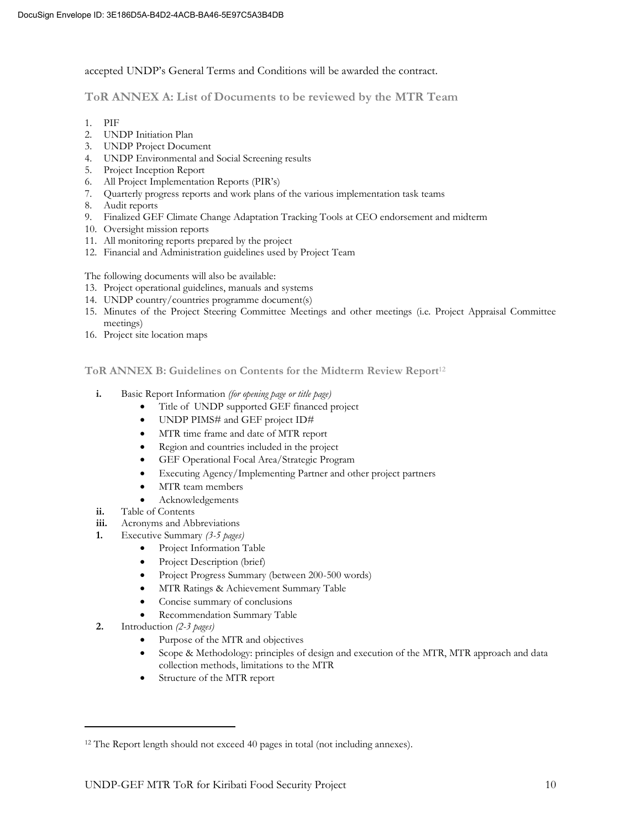accepted UNDP's General Terms and Conditions will be awarded the contract.

**ToR ANNEX A: List of Documents to be reviewed by the MTR Team** 

- 1. PIF
- 2. UNDP Initiation Plan
- 3. UNDP Project Document
- 4. UNDP Environmental and Social Screening results
- 5. Project Inception Report
- 6. All Project Implementation Reports (PIR's)
- 7. Quarterly progress reports and work plans of the various implementation task teams
- 8. Audit reports
- 9. Finalized GEF Climate Change Adaptation Tracking Tools at CEO endorsement and midterm
- 10. Oversight mission reports
- 11. All monitoring reports prepared by the project
- 12. Financial and Administration guidelines used by Project Team

The following documents will also be available:

- 13. Project operational guidelines, manuals and systems
- 14. UNDP country/countries programme document(s)
- 15. Minutes of the Project Steering Committee Meetings and other meetings (i.e. Project Appraisal Committee meetings)
- 16. Project site location maps

**ToR ANNEX B: Guidelines on Contents for the Midterm Review Report**<sup>12</sup>

- **i.** Basic Report Information *(for opening page or title page)*
	- Title of UNDP supported GEF financed project
	- UNDP PIMS# and GEF project ID#
	- MTR time frame and date of MTR report
	- Region and countries included in the project
	- GEF Operational Focal Area/Strategic Program
	- Executing Agency/Implementing Partner and other project partners
	- MTR team members
	- Acknowledgements
- **ii.** Table of Contents
- **iii.** Acronyms and Abbreviations
- **1.** Executive Summary *(3-5 pages)*
	- Project Information Table
	- Project Description (brief)
	- Project Progress Summary (between 200-500 words)
	- MTR Ratings & Achievement Summary Table
	- Concise summary of conclusions
	- Recommendation Summary Table
- **2.** Introduction *(2-3 pages)*
	- Purpose of the MTR and objectives
	- Scope & Methodology: principles of design and execution of the MTR, MTR approach and data collection methods, limitations to the MTR
	- Structure of the MTR report

<sup>&</sup>lt;sup>12</sup> The Report length should not exceed 40 pages in total (not including annexes).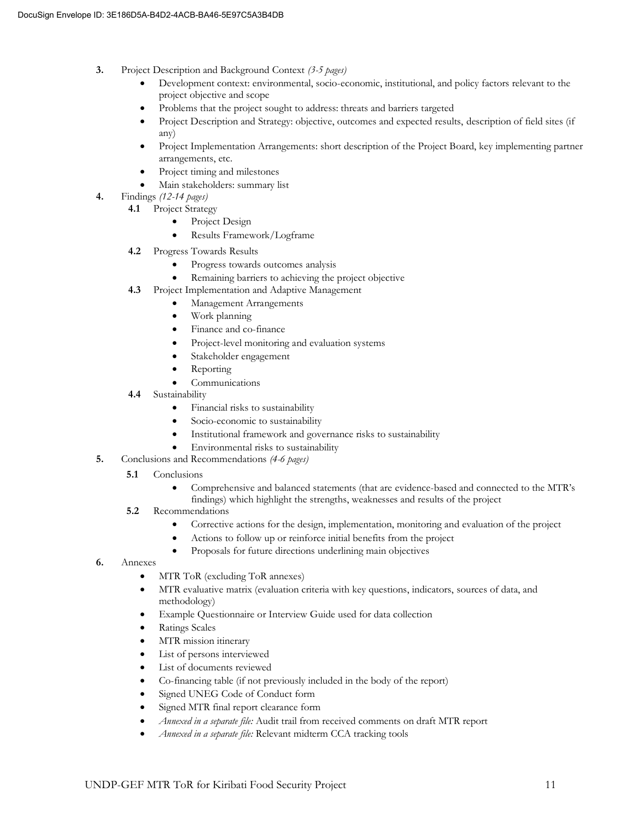- **3.** Project Description and Background Context *(3-5 pages)*
	- Development context: environmental, socio-economic, institutional, and policy factors relevant to the project objective and scope
	- Problems that the project sought to address: threats and barriers targeted
	- Project Description and Strategy: objective, outcomes and expected results, description of field sites (if any)
	- Project Implementation Arrangements: short description of the Project Board, key implementing partner arrangements, etc.
	- Project timing and milestones
	- Main stakeholders: summary list
- **4.** Findings *(12-14 pages)*
	- **4.1** Project Strategy
		- Project Design
		- Results Framework/Logframe
	- **4.2** Progress Towards Results
		- Progress towards outcomes analysis
		- Remaining barriers to achieving the project objective
	- **4.3** Project Implementation and Adaptive Management
		- Management Arrangements
		- Work planning
		- Finance and co-finance
		- Project-level monitoring and evaluation systems
		- Stakeholder engagement
		- **Reporting**
		- **Communications**
	- **4.4** Sustainability
		- Financial risks to sustainability
		- Socio-economic to sustainability
		- Institutional framework and governance risks to sustainability
		- Environmental risks to sustainability
- **5.** Conclusions and Recommendations *(4-6 pages)*
	- **5.1 Conclusions** 
		- Comprehensive and balanced statements (that are evidence-based and connected to the MTR's
		- findings) which highlight the strengths, weaknesses and results of the project
	- **5.2** Recommendations
		- Corrective actions for the design, implementation, monitoring and evaluation of the project
		- Actions to follow up or reinforce initial benefits from the project
		- Proposals for future directions underlining main objectives
- **6.** Annexes
	- MTR ToR (excluding ToR annexes)
	- MTR evaluative matrix (evaluation criteria with key questions, indicators, sources of data, and methodology)
	- Example Questionnaire or Interview Guide used for data collection
	- Ratings Scales
	- MTR mission itinerary
	- List of persons interviewed
	- List of documents reviewed
	- Co-financing table (if not previously included in the body of the report)
	- Signed UNEG Code of Conduct form
	- Signed MTR final report clearance form
	- *Annexed in a separate file:* Audit trail from received comments on draft MTR report
	- *Annexed in a separate file:* Relevant midterm CCA tracking tools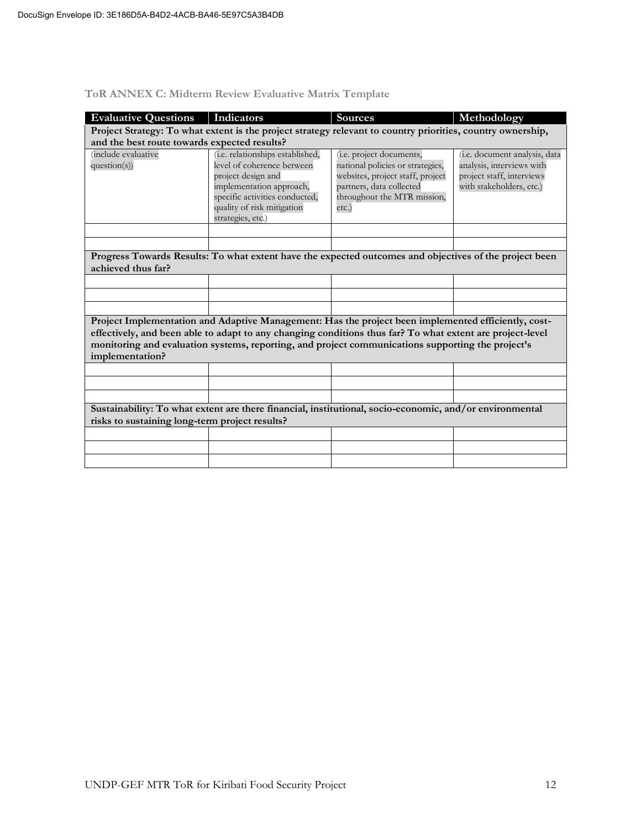| <b>Evaluative Questions</b>                                                                                                                                                                                                                                                                                                              | Indicators                                                                                                                                                                                            | <b>Sources</b>                                                                                                                                                       | Methodology                                                                                                         |  |  |  |
|------------------------------------------------------------------------------------------------------------------------------------------------------------------------------------------------------------------------------------------------------------------------------------------------------------------------------------------|-------------------------------------------------------------------------------------------------------------------------------------------------------------------------------------------------------|----------------------------------------------------------------------------------------------------------------------------------------------------------------------|---------------------------------------------------------------------------------------------------------------------|--|--|--|
| Project Strategy: To what extent is the project strategy relevant to country priorities, country ownership,                                                                                                                                                                                                                              |                                                                                                                                                                                                       |                                                                                                                                                                      |                                                                                                                     |  |  |  |
| and the best route towards expected results?                                                                                                                                                                                                                                                                                             |                                                                                                                                                                                                       |                                                                                                                                                                      |                                                                                                                     |  |  |  |
| <i>(include evaluative</i> )<br>question(s))                                                                                                                                                                                                                                                                                             | (i.e. relationships established,<br>level of coherence between<br>project design and<br>implementation approach,<br>specific activities conducted,<br>quality of risk mitigation<br>strategies, etc.) | (i.e. project documents,<br>national policies or strategies,<br>websites, project staff, project<br>partners, data collected<br>throughout the MTR mission,<br>etc.) | (i.e. document analysis, data<br>analysis, interviews with<br>project staff, interviews<br>with stakeholders, etc.) |  |  |  |
|                                                                                                                                                                                                                                                                                                                                          |                                                                                                                                                                                                       |                                                                                                                                                                      |                                                                                                                     |  |  |  |
|                                                                                                                                                                                                                                                                                                                                          |                                                                                                                                                                                                       |                                                                                                                                                                      |                                                                                                                     |  |  |  |
| achieved thus far?                                                                                                                                                                                                                                                                                                                       |                                                                                                                                                                                                       | Progress Towards Results: To what extent have the expected outcomes and objectives of the project been                                                               |                                                                                                                     |  |  |  |
|                                                                                                                                                                                                                                                                                                                                          |                                                                                                                                                                                                       |                                                                                                                                                                      |                                                                                                                     |  |  |  |
|                                                                                                                                                                                                                                                                                                                                          |                                                                                                                                                                                                       |                                                                                                                                                                      |                                                                                                                     |  |  |  |
|                                                                                                                                                                                                                                                                                                                                          |                                                                                                                                                                                                       |                                                                                                                                                                      |                                                                                                                     |  |  |  |
| Project Implementation and Adaptive Management: Has the project been implemented efficiently, cost-<br>effectively, and been able to adapt to any changing conditions thus far? To what extent are project-level<br>monitoring and evaluation systems, reporting, and project communications supporting the project's<br>implementation? |                                                                                                                                                                                                       |                                                                                                                                                                      |                                                                                                                     |  |  |  |
|                                                                                                                                                                                                                                                                                                                                          |                                                                                                                                                                                                       |                                                                                                                                                                      |                                                                                                                     |  |  |  |
|                                                                                                                                                                                                                                                                                                                                          |                                                                                                                                                                                                       |                                                                                                                                                                      |                                                                                                                     |  |  |  |
|                                                                                                                                                                                                                                                                                                                                          |                                                                                                                                                                                                       |                                                                                                                                                                      |                                                                                                                     |  |  |  |
| Sustainability: To what extent are there financial, institutional, socio-economic, and/or environmental<br>risks to sustaining long-term project results?                                                                                                                                                                                |                                                                                                                                                                                                       |                                                                                                                                                                      |                                                                                                                     |  |  |  |
|                                                                                                                                                                                                                                                                                                                                          |                                                                                                                                                                                                       |                                                                                                                                                                      |                                                                                                                     |  |  |  |
|                                                                                                                                                                                                                                                                                                                                          |                                                                                                                                                                                                       |                                                                                                                                                                      |                                                                                                                     |  |  |  |
|                                                                                                                                                                                                                                                                                                                                          |                                                                                                                                                                                                       |                                                                                                                                                                      |                                                                                                                     |  |  |  |
|                                                                                                                                                                                                                                                                                                                                          |                                                                                                                                                                                                       |                                                                                                                                                                      |                                                                                                                     |  |  |  |

## **ToR ANNEX C: Midterm Review Evaluative Matrix Template**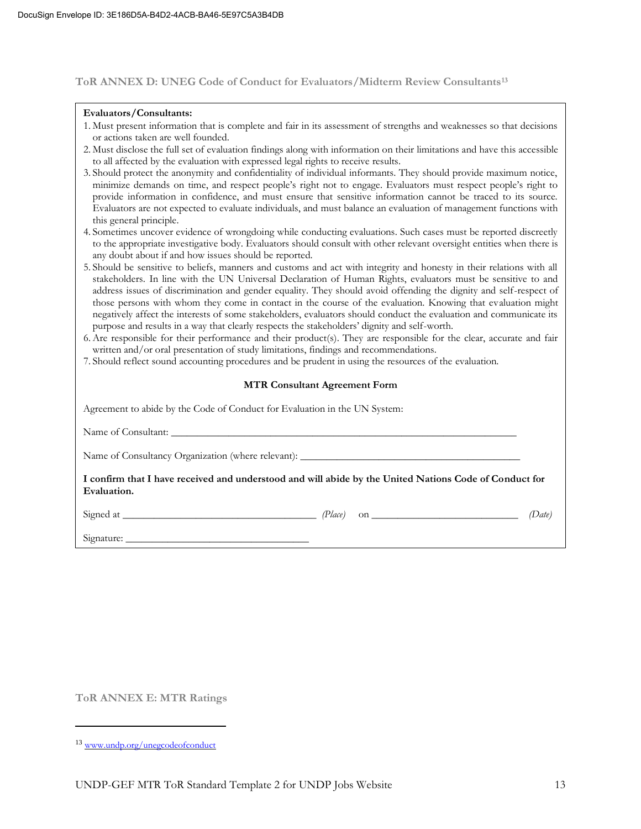#### **ToR ANNEX D: UNEG Code of Conduct for Evaluators/Midterm Review Consultants<sup>13</sup>**

#### **Evaluators/Consultants:**

- 1. Must present information that is complete and fair in its assessment of strengths and weaknesses so that decisions or actions taken are well founded.
- 2. Must disclose the full set of evaluation findings along with information on their limitations and have this accessible to all affected by the evaluation with expressed legal rights to receive results.
- 3. Should protect the anonymity and confidentiality of individual informants. They should provide maximum notice, minimize demands on time, and respect people's right not to engage. Evaluators must respect people's right to provide information in confidence, and must ensure that sensitive information cannot be traced to its source. Evaluators are not expected to evaluate individuals, and must balance an evaluation of management functions with this general principle.
- 4. Sometimes uncover evidence of wrongdoing while conducting evaluations. Such cases must be reported discreetly to the appropriate investigative body. Evaluators should consult with other relevant oversight entities when there is any doubt about if and how issues should be reported.
- 5. Should be sensitive to beliefs, manners and customs and act with integrity and honesty in their relations with all stakeholders. In line with the UN Universal Declaration of Human Rights, evaluators must be sensitive to and address issues of discrimination and gender equality. They should avoid offending the dignity and self-respect of those persons with whom they come in contact in the course of the evaluation. Knowing that evaluation might negatively affect the interests of some stakeholders, evaluators should conduct the evaluation and communicate its purpose and results in a way that clearly respects the stakeholders' dignity and self-worth.
- 6. Are responsible for their performance and their product(s). They are responsible for the clear, accurate and fair written and/or oral presentation of study limitations, findings and recommendations.
- 7. Should reflect sound accounting procedures and be prudent in using the resources of the evaluation.

#### **MTR Consultant Agreement Form**

| Agreement to abide by the Code of Conduct for Evaluation in the UN System:                                            |  |  |  |  |
|-----------------------------------------------------------------------------------------------------------------------|--|--|--|--|
|                                                                                                                       |  |  |  |  |
|                                                                                                                       |  |  |  |  |
| I confirm that I have received and understood and will abide by the United Nations Code of Conduct for<br>Evaluation. |  |  |  |  |
|                                                                                                                       |  |  |  |  |
|                                                                                                                       |  |  |  |  |

**ToR ANNEX E: MTR Ratings**

<sup>13</sup> [www.undp.org/unegcodeofconduct](http://www.undp.org/unegcodeofconduct)